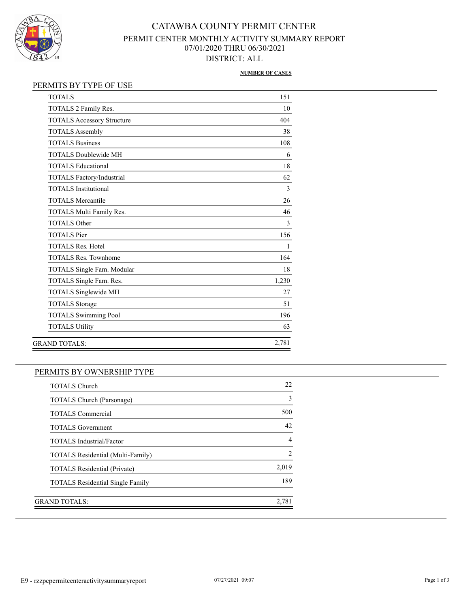

# CATAWBA COUNTY PERMIT CENTER PERMIT CENTER MONTHLY ACTIVITY SUMMARY REPORT 07/01/2020 THRU 06/30/2021 DISTRICT: ALL

#### **NUMBER OF CASES**

### PERMITS BY TYPE OF USE

| <b>TOTALS</b>                     | 151   |
|-----------------------------------|-------|
| TOTALS 2 Family Res.              | 10    |
| <b>TOTALS Accessory Structure</b> | 404   |
| <b>TOTALS Assembly</b>            | 38    |
| <b>TOTALS Business</b>            | 108   |
| <b>TOTALS Doublewide MH</b>       | 6     |
| <b>TOTALS Educational</b>         | 18    |
| TOTALS Factory/Industrial         | 62    |
| <b>TOTALS</b> Institutional       | 3     |
| <b>TOTALS Mercantile</b>          | 26    |
| TOTALS Multi Family Res.          | 46    |
| <b>TOTALS Other</b>               | 3     |
| <b>TOTALS</b> Pier                | 156   |
| <b>TOTALS Res. Hotel</b>          | 1     |
| <b>TOTALS Res. Townhome</b>       | 164   |
| TOTALS Single Fam. Modular        | 18    |
| TOTALS Single Fam. Res.           | 1,230 |
| TOTALS Singlewide MH              | 27    |
| <b>TOTALS Storage</b>             | 51    |
| <b>TOTALS Swimming Pool</b>       | 196   |
| <b>TOTALS Utility</b>             | 63    |
| GRAND TOTALS:                     | 2,781 |

### PERMITS BY OWNERSHIP TYPE

| <b>TOTALS Church</b>                    | 22             |
|-----------------------------------------|----------------|
| TOTALS Church (Parsonage)               | 3              |
| <b>TOTALS Commercial</b>                | 500            |
| <b>TOTALS Government</b>                | 42             |
| <b>TOTALS Industrial/Factor</b>         |                |
| TOTALS Residential (Multi-Family)       | $\mathfrak{D}$ |
| <b>TOTALS Residential (Private)</b>     | 2,019          |
| <b>TOTALS</b> Residential Single Family | 189            |
|                                         |                |
| GRAND TOTALS:                           | 2,781          |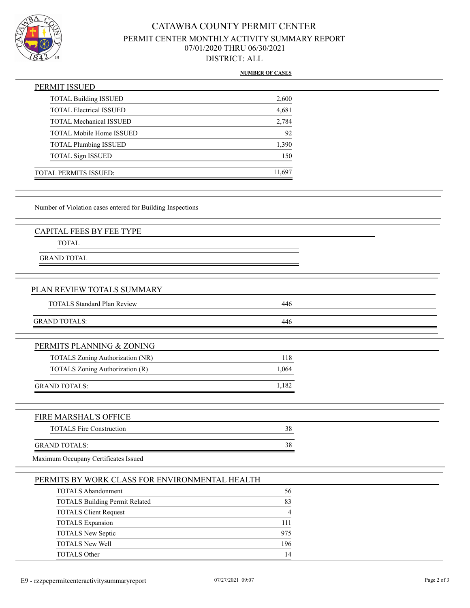

# CATAWBA COUNTY PERMIT CENTER PERMIT CENTER MONTHLY ACTIVITY SUMMARY REPORT 07/01/2020 THRU 06/30/2021 DISTRICT: ALL

#### **NUMBER OF CASES**

| PERMIT ISSUED                   |        |
|---------------------------------|--------|
| <b>TOTAL Building ISSUED</b>    | 2,600  |
| <b>TOTAL Electrical ISSUED</b>  | 4,681  |
| <b>TOTAL Mechanical ISSUED</b>  | 2,784  |
| <b>TOTAL Mobile Home ISSUED</b> | 92     |
| <b>TOTAL Plumbing ISSUED</b>    | 1,390  |
| <b>TOTAL Sign ISSUED</b>        | 150    |
| TOTAL PERMITS ISSUED:           | 11,697 |

Number of Violation cases entered for Building Inspections

TOTAL

GRAND TOTAL

### PLAN REVIEW TOTALS SUMMARY

| <b>TOTALS Standard Plan Review</b> | 446 |  |
|------------------------------------|-----|--|
|                                    |     |  |
| <b>GRAND TOTALS:</b>               | 446 |  |

| PERMITS PLANNING & ZONING        |  |
|----------------------------------|--|
| TOTALS Zoning Authorization (NR) |  |

| TOTALS Zoning Authorization (R) |  |
|---------------------------------|--|
|                                 |  |
| <b>GRAND TOTALS:</b>            |  |

# FIRE MARSHAL'S OFFICE TOTALS Fire Construction 38 GRAND TOTALS: 38

Maximum Occupany Certificates Issued

| PERMITS BY WORK CLASS FOR ENVIRONMENTAL HEALTH |     |  |
|------------------------------------------------|-----|--|
| <b>TOTALS Abandonment</b>                      | 56  |  |
| <b>TOTALS Building Permit Related</b>          | 83  |  |
| <b>TOTALS Client Request</b>                   | 4   |  |
| <b>TOTALS Expansion</b>                        | 111 |  |
| TOTALS New Septic                              | 975 |  |
| <b>TOTALS New Well</b>                         | 196 |  |
| <b>TOTALS Other</b>                            | 14  |  |